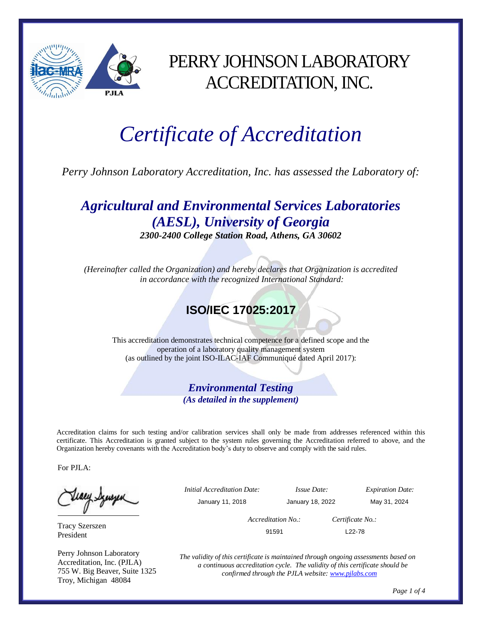

# PERRY JOHNSON LABORATORY ACCREDITATION, INC.

# *Certificate of Accreditation*

*Perry Johnson Laboratory Accreditation, Inc. has assessed the Laboratory of:*

### *Agricultural and Environmental Services Laboratories (AESL), University of Georgia 2300-2400 College Station Road, Athens, GA 30602*

*(Hereinafter called the Organization) and hereby declares that Organization is accredited in accordance with the recognized International Standard:*

### **ISO/IEC 17025:2017**

This accreditation demonstrates technical competence for a defined scope and the operation of a laboratory quality management system (as outlined by the joint ISO-ILAC-IAF Communiqué dated April 2017):

> *Environmental Testing (As detailed in the supplement)*

Accreditation claims for such testing and/or calibration services shall only be made from addresses referenced within this certificate. This Accreditation is granted subject to the system rules governing the Accreditation referred to above, and the Organization hereby covenants with the Accreditation body's duty to observe and comply with the said rules.

For PJLA:

iaey Szuszen

Tracy Szerszen President

Perry Johnson Laboratory Accreditation, Inc. (PJLA) 755 W. Big Beaver, Suite 1325 Troy, Michigan 48084

 *Initial Accreditation Date: Issue Date: Expiration Date:* January 11, 2018 January 18, 2022 May 31, 2024

 *Accreditation No.: Certificate No.:* 91591 L22-78

*The validity of this certificate is maintained through ongoing assessments based on a continuous accreditation cycle. The validity of this certificate should be confirmed through the PJLA website: [www.pjlabs.com](http://www.pjlabs.com/)*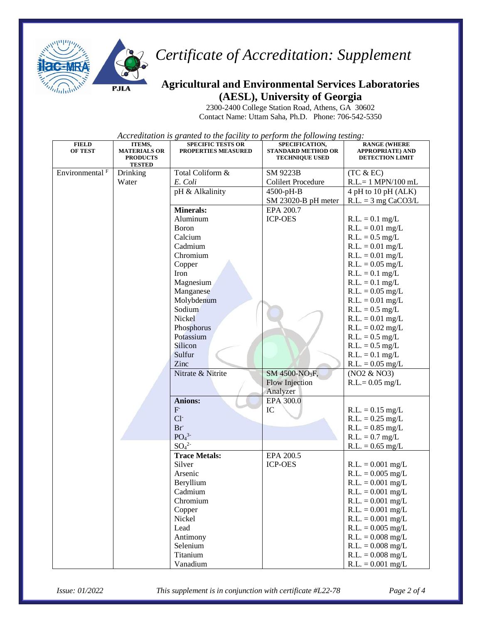

## *Certificate of Accreditation: Supplement*

### **Agricultural and Environmental Services Laboratories (AESL), University of Georgia**

2300-2400 College Station Road, Athens, GA 30602 Contact Name: Uttam Saha, Ph.D. Phone: 706-542-5350

| Accreditation is granted to the facility to perform the following testing: |                               |                                                        |                                             |                                                |  |
|----------------------------------------------------------------------------|-------------------------------|--------------------------------------------------------|---------------------------------------------|------------------------------------------------|--|
| <b>FIELD</b><br>OF TEST                                                    | ITEMS,<br><b>MATERIALS OR</b> | <b>SPECIFIC TESTS OR</b><br><b>PROPERTIES MEASURED</b> | SPECIFICATION,<br><b>STANDARD METHOD OR</b> | <b>RANGE (WHERE</b><br><b>APPROPRIATE) AND</b> |  |
|                                                                            | <b>PRODUCTS</b>               |                                                        | <b>TECHNIQUE USED</b>                       | <b>DETECTION LIMIT</b>                         |  |
|                                                                            | <b>TESTED</b>                 |                                                        |                                             |                                                |  |
| Environmental $\overline{F}$                                               | Drinking                      | Total Coliform &                                       | <b>SM 9223B</b>                             | (TC & EC)                                      |  |
|                                                                            | Water                         | E. Coli                                                | <b>Colilert Procedure</b>                   | $R.L = 1$ MPN/100 mL                           |  |
|                                                                            |                               | pH & Alkalinity                                        | 4500-pH-B                                   | 4 pH to 10 pH (ALK)                            |  |
|                                                                            |                               |                                                        | SM 23020-B pH meter                         | $R.L. = 3 mg CaCO3/L$                          |  |
|                                                                            |                               | <b>Minerals:</b>                                       | EPA 200.7                                   |                                                |  |
|                                                                            |                               | Aluminum                                               | <b>ICP-OES</b>                              | $R.L. = 0.1$ mg/L                              |  |
|                                                                            |                               | <b>Boron</b>                                           |                                             | $R.L. = 0.01$ mg/L                             |  |
|                                                                            |                               | Calcium                                                |                                             | $R.L. = 0.5$ mg/L                              |  |
|                                                                            |                               | Cadmium                                                |                                             | $R.L. = 0.01$ mg/L                             |  |
|                                                                            |                               | Chromium                                               |                                             | $R.L. = 0.01$ mg/L                             |  |
|                                                                            |                               | Copper                                                 |                                             | $R.L. = 0.05$ mg/L                             |  |
|                                                                            |                               | Iron                                                   |                                             | $R.L. = 0.1$ mg/L                              |  |
|                                                                            |                               | Magnesium                                              |                                             | $R.L. = 0.1$ mg/L                              |  |
|                                                                            |                               | Manganese                                              |                                             | $R.L. = 0.05$ mg/L                             |  |
|                                                                            |                               | Molybdenum                                             |                                             | $R.L. = 0.01$ mg/L                             |  |
|                                                                            |                               | Sodium                                                 |                                             | $R.L. = 0.5$ mg/L                              |  |
|                                                                            |                               | Nickel                                                 |                                             | $R.L. = 0.01$ mg/L                             |  |
|                                                                            |                               | Phosphorus                                             |                                             | $R.L. = 0.02$ mg/L                             |  |
|                                                                            |                               | Potassium                                              |                                             | $R.L. = 0.5$ mg/L                              |  |
|                                                                            |                               | Silicon                                                |                                             | $R.L. = 0.5$ mg/L                              |  |
|                                                                            |                               | Sulfur                                                 |                                             | $R.L. = 0.1$ mg/L                              |  |
|                                                                            |                               | Zinc                                                   |                                             | $R.L. = 0.05$ mg/L                             |  |
|                                                                            |                               | Nitrate & Nitrite                                      | SM 4500-NO <sub>3</sub> F,                  | (NO <sub>2</sub> & NO <sub>3</sub> )           |  |
|                                                                            |                               |                                                        | Flow Injection                              | $R.L = 0.05$ mg/L                              |  |
|                                                                            |                               |                                                        |                                             |                                                |  |
|                                                                            |                               |                                                        | Analyzer                                    |                                                |  |
|                                                                            |                               | <b>Anions:</b>                                         | EPA 300.0                                   |                                                |  |
|                                                                            |                               | $F -$                                                  | IC                                          | $R.L. = 0.15$ mg/L                             |  |
|                                                                            |                               | $Cl-$                                                  |                                             | $R.L. = 0.25$ mg/L                             |  |
|                                                                            |                               | Br <sup>-</sup>                                        |                                             | $R.L. = 0.85$ mg/L                             |  |
|                                                                            |                               | PO <sub>4</sub> <sup>3</sup>                           |                                             | $R.L. = 0.7$ mg/L                              |  |
|                                                                            |                               | $\mathrm{SO_4}^{2-}$                                   |                                             | $R.L. = 0.65$ mg/L                             |  |
|                                                                            |                               | <b>Trace Metals:</b>                                   | EPA 200.5                                   |                                                |  |
|                                                                            |                               | Silver                                                 | <b>ICP-OES</b>                              | $R.L. = 0.001$ mg/L                            |  |
|                                                                            |                               | Arsenic                                                |                                             | $R.L. = 0.005 mg/L$                            |  |
|                                                                            |                               | Beryllium                                              |                                             | $R.L. = 0.001$ mg/L                            |  |
|                                                                            |                               | Cadmium                                                |                                             | $R.L. = 0.001$ mg/L                            |  |
|                                                                            |                               | Chromium                                               |                                             | $R.L. = 0.001$ mg/L                            |  |
|                                                                            |                               | Copper                                                 |                                             | $R.L. = 0.001$ mg/L                            |  |
|                                                                            |                               | Nickel                                                 |                                             | $R.L. = 0.001$ mg/L                            |  |
|                                                                            |                               | Lead                                                   |                                             | $R.L. = 0.005 mg/L$                            |  |
|                                                                            |                               | Antimony                                               |                                             | $R.L. = 0.008$ mg/L                            |  |
|                                                                            |                               | Selenium                                               |                                             | $R.L. = 0.008$ mg/L                            |  |
|                                                                            |                               | Titanium                                               |                                             | $R.L. = 0.008$ mg/L                            |  |
|                                                                            |                               | Vanadium                                               |                                             | $R.L. = 0.001$ mg/L                            |  |

*Accreditation is granted to the facility to perform the following testing:*

*Issue: 01/2022 This supplement is in conjunction with certificate #L22-78 Page 2 of 4*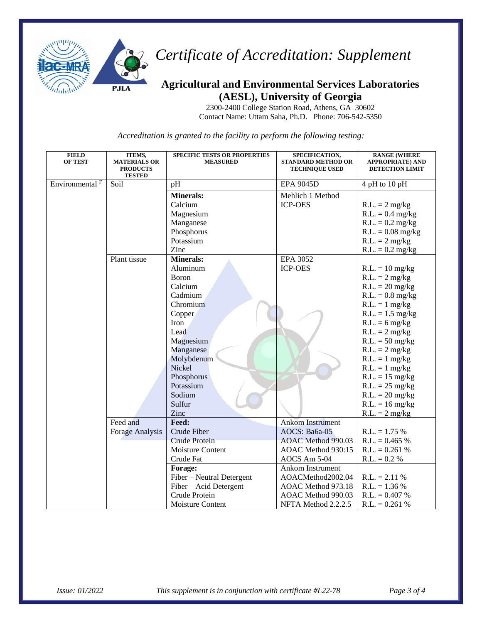

*Certificate of Accreditation: Supplement*

#### **Agricultural and Environmental Services Laboratories (AESL), University of Georgia**

2300-2400 College Station Road, Athens, GA 30602 Contact Name: Uttam Saha, Ph.D. Phone: 706-542-5350

*Accreditation is granted to the facility to perform the following testing:*

| <b>FIELD</b><br><b>OF TEST</b> | ITEMS,<br><b>MATERIALS OR</b><br><b>PRODUCTS</b><br><b>TESTED</b> | <b>SPECIFIC TESTS OR PROPERTIES</b><br><b>MEASURED</b>                                                                                                                                                    | SPECIFICATION,<br>STANDARD METHOD OR<br><b>TECHNIQUE USED</b>                                                                                                                                    | <b>RANGE (WHERE</b><br><b>APPROPRIATE) AND</b><br><b>DETECTION LIMIT</b>                                                                                                                                                                                                                                                                |
|--------------------------------|-------------------------------------------------------------------|-----------------------------------------------------------------------------------------------------------------------------------------------------------------------------------------------------------|--------------------------------------------------------------------------------------------------------------------------------------------------------------------------------------------------|-----------------------------------------------------------------------------------------------------------------------------------------------------------------------------------------------------------------------------------------------------------------------------------------------------------------------------------------|
| Environmental <sup>F</sup>     | Soil                                                              | pH                                                                                                                                                                                                        | <b>EPA 9045D</b>                                                                                                                                                                                 | 4 pH to 10 pH                                                                                                                                                                                                                                                                                                                           |
|                                |                                                                   | <b>Minerals:</b><br>Calcium<br>Magnesium<br>Manganese<br>Phosphorus<br>Potassium                                                                                                                          | Mehlich 1 Method<br><b>ICP-OES</b>                                                                                                                                                               | $R.L. = 2 mg/kg$<br>$R.L. = 0.4$ mg/kg<br>$R.L. = 0.2$ mg/kg<br>$R.L. = 0.08$ mg/kg<br>$R.L. = 2 mg/kg$                                                                                                                                                                                                                                 |
|                                |                                                                   | Zinc                                                                                                                                                                                                      |                                                                                                                                                                                                  | $R.L. = 0.2$ mg/kg                                                                                                                                                                                                                                                                                                                      |
|                                | Plant tissue                                                      | <b>Minerals:</b><br>Aluminum<br><b>Boron</b><br>Calcium<br>Cadmium<br>Chromium<br>Copper<br>Iron<br>Lead<br>Magnesium<br>Manganese<br>Molybdenum<br>Nickel<br>Phosphorus<br>Potassium<br>Sodium<br>Sulfur | <b>EPA 3052</b><br><b>ICP-OES</b>                                                                                                                                                                | $R.L. = 10$ mg/kg<br>$R.L. = 2 mg/kg$<br>$R.L. = 20$ mg/kg<br>$R.L. = 0.8$ mg/kg<br>$R.L. = 1 mg/kg$<br>$R.L. = 1.5$ mg/kg<br>$R.L. = 6$ mg/kg<br>$R.L. = 2 mg/kg$<br>$R.L. = 50$ mg/kg<br>$R.L. = 2 mg/kg$<br>$R.L. = 1 mg/kg$<br>$R.L. = 1 mg/kg$<br>$R.L. = 15$ mg/kg<br>$R.L. = 25$ mg/kg<br>$R.L. = 20$ mg/kg<br>$R.L. = 16$ mg/kg |
|                                |                                                                   | Zinc                                                                                                                                                                                                      |                                                                                                                                                                                                  | $R.L. = 2 mg/kg$                                                                                                                                                                                                                                                                                                                        |
|                                | Feed and<br>Forage Analysis                                       | Feed:<br>Crude Fiber<br><b>Crude Protein</b><br>Moisture Content<br>Crude Fat<br>Forage:<br>Fiber - Neutral Detergent<br>Fiber – Acid Detergent<br>Crude Protein                                          | <b>Ankom Instrument</b><br>AOCS: Ba6a-05<br>AOAC Method 990.03<br>AOAC Method 930:15<br>AOCS Am 5-04<br><b>Ankom Instrument</b><br>AOACMethod2002.04<br>AOAC Method 973.18<br>AOAC Method 990.03 | $R.L. = 1.75 %$<br>$R.L. = 0.465 %$<br>$R.L. = 0.261%$<br>$R.L. = 0.2 %$<br>$R.L. = 2.11 %$<br>$R.L. = 1.36 %$<br>$R.L. = 0.407 %$                                                                                                                                                                                                      |
|                                |                                                                   | Moisture Content                                                                                                                                                                                          | NFTA Method 2.2.2.5                                                                                                                                                                              | $R.L. = 0.261 %$                                                                                                                                                                                                                                                                                                                        |